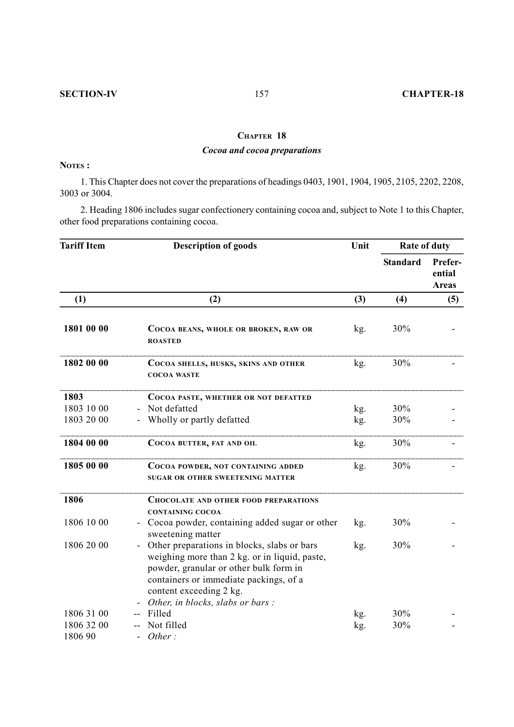## **CHAPTER 18**

## *Cocoa and cocoa preparations*

## **NOTES :**

1. This Chapter does not cover the preparations of headings 0403, 1901, 1904, 1905, 2105, 2202, 2208, 3003 or 3004.

2. Heading 1806 includes sugar confectionery containing cocoa and, subject to Note 1 to this Chapter, other food preparations containing cocoa.

| <b>Tariff Item</b> | <b>Description of goods</b>                                                                                                                                                                                                                                        | Unit | <b>Rate of duty</b> |                                   |
|--------------------|--------------------------------------------------------------------------------------------------------------------------------------------------------------------------------------------------------------------------------------------------------------------|------|---------------------|-----------------------------------|
|                    |                                                                                                                                                                                                                                                                    |      | <b>Standard</b>     | Prefer-<br>ential<br><b>Areas</b> |
| (1)                | (2)                                                                                                                                                                                                                                                                | (3)  | (4)                 | (5)                               |
| 1801 00 00         | COCOA BEANS, WHOLE OR BROKEN, RAW OR<br><b>ROASTED</b>                                                                                                                                                                                                             | kg.  | 30%                 |                                   |
| 1802 00 00         | COCOA SHELLS, HUSKS, SKINS AND OTHER<br><b>COCOA WASTE</b>                                                                                                                                                                                                         | kg.  | 30%                 |                                   |
| 1803               | COCOA PASTE, WHETHER OR NOT DEFATTED                                                                                                                                                                                                                               |      |                     |                                   |
| 1803 10 00         | Not defatted                                                                                                                                                                                                                                                       | kg.  | 30%                 |                                   |
| 1803 20 00         | Wholly or partly defatted                                                                                                                                                                                                                                          | kg.  | 30%                 |                                   |
| 1804 00 00         | COCOA BUTTER, FAT AND OIL                                                                                                                                                                                                                                          | kg.  | 30%                 |                                   |
| 1805 00 00         | COCOA POWDER, NOT CONTAINING ADDED<br><b>SUGAR OR OTHER SWEETENING MATTER</b>                                                                                                                                                                                      | kg.  | 30%                 |                                   |
| 1806               | <b>CHOCOLATE AND OTHER FOOD PREPARATIONS</b><br><b>CONTAINING COCOA</b>                                                                                                                                                                                            |      |                     |                                   |
| 1806 10 00         | Cocoa powder, containing added sugar or other<br>sweetening matter                                                                                                                                                                                                 | kg.  | 30%                 |                                   |
| 1806 20 00         | Other preparations in blocks, slabs or bars<br>$\overline{a}$<br>weighing more than 2 kg. or in liquid, paste,<br>powder, granular or other bulk form in<br>containers or immediate packings, of a<br>content exceeding 2 kg.<br>Other, in blocks, slabs or bars : | kg.  | 30%                 |                                   |
| 1806 31 00         | Filled                                                                                                                                                                                                                                                             | kg.  | 30%                 |                                   |
| 1806 32 00         | Not filled                                                                                                                                                                                                                                                         | kg.  | 30%                 |                                   |
| 1806 90            | Other:                                                                                                                                                                                                                                                             |      |                     |                                   |